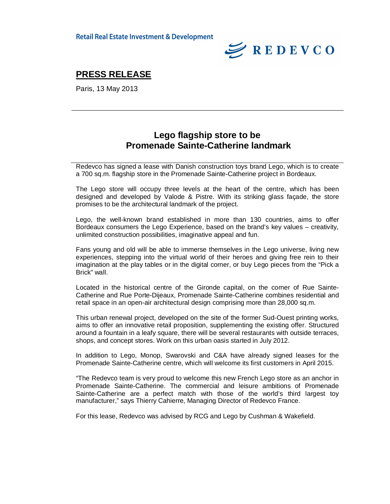

## **PRESS RELEASE**

Paris, 13 May 2013

### **Lego flagship store to be Promenade Sainte-Catherine landmark**

Redevco has signed a lease with Danish construction toys brand Lego, which is to create a 700 sq.m. flagship store in the Promenade Sainte-Catherine project in Bordeaux.

The Lego store will occupy three levels at the heart of the centre, which has been designed and developed by Valode & Pistre. With its striking glass façade, the store promises to be the architectural landmark of the project.

Lego, the well-known brand established in more than 130 countries, aims to offer Bordeaux consumers the Lego Experience, based on the brand's key values – creativity, unlimited construction possibilities, imaginative appeal and fun.

Fans young and old will be able to immerse themselves in the Lego universe, living new experiences, stepping into the virtual world of their heroes and giving free rein to their imagination at the play tables or in the digital corner, or buy Lego pieces from the "Pick a Brick" wall.

Located in the historical centre of the Gironde capital, on the corner of Rue Sainte-Catherine and Rue Porte-Dijeaux, Promenade Sainte-Catherine combines residential and retail space in an open-air architectural design comprising more than 28,000 sq.m.

This urban renewal project, developed on the site of the former Sud-Ouest printing works, aims to offer an innovative retail proposition, supplementing the existing offer. Structured around a fountain in a leafy square, there will be several restaurants with outside terraces, shops, and concept stores. Work on this urban oasis started in July 2012.

In addition to Lego, Monop, Swarovski and C&A have already signed leases for the Promenade Sainte-Catherine centre, which will welcome its first customers in April 2015.

"The Redevco team is very proud to welcome this new French Lego store as an anchor in Promenade Sainte-Catherine. The commercial and leisure ambitions of Promenade Sainte-Catherine are a perfect match with those of the world's third largest toy manufacturer," says Thierry Cahierre, Managing Director of Redevco France.

For this lease, Redevco was advised by RCG and Lego by Cushman & Wakefield.